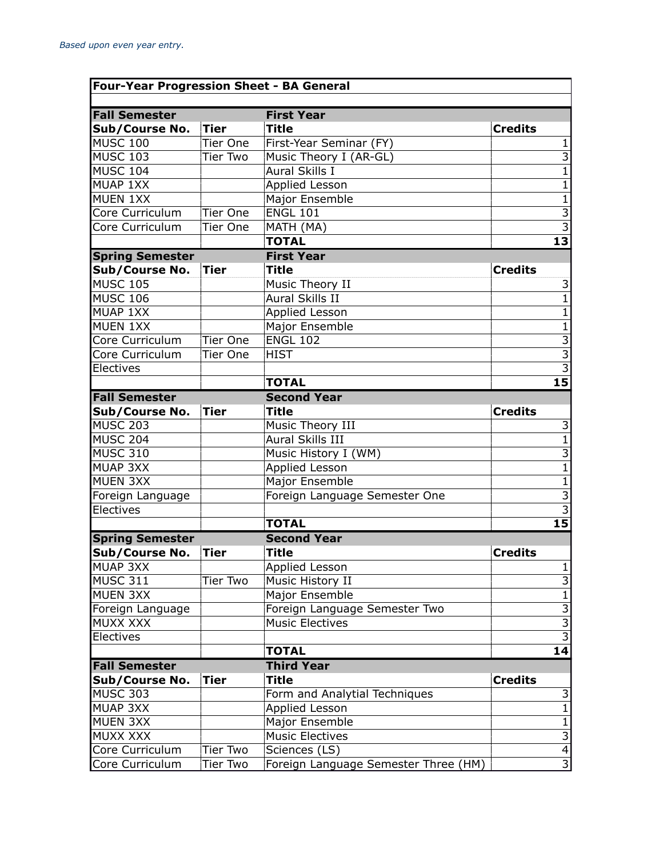